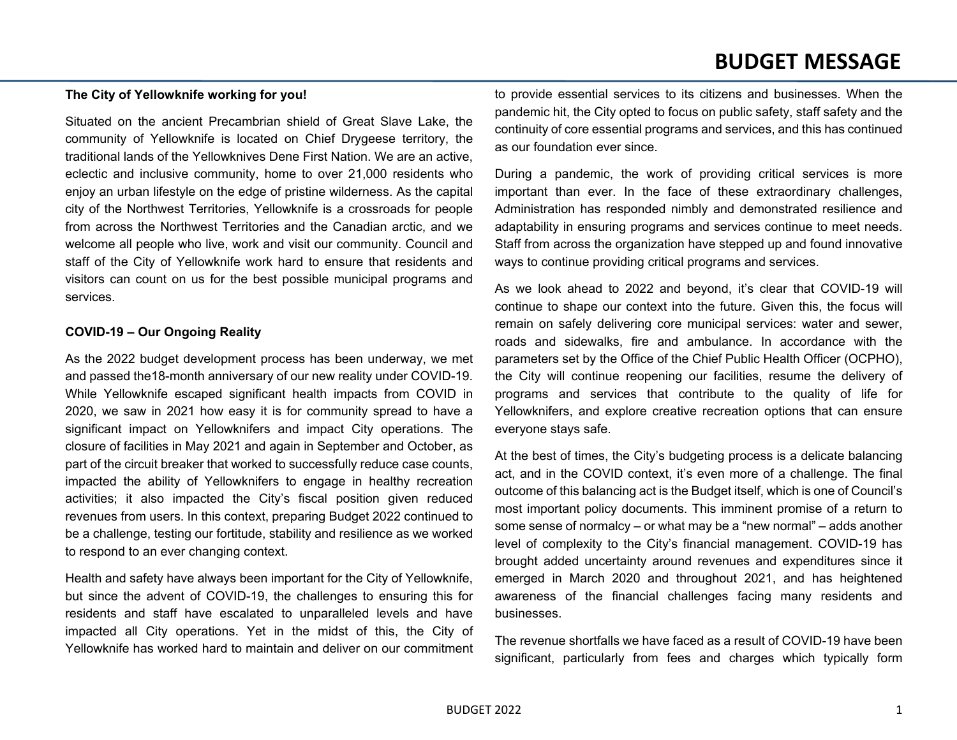### **The City of Yellowknife working for you!**

Situated on the ancient Precambrian shield of Great Slave Lake, the community of Yellowknife is located on Chief Drygeese territory, the traditional lands of the Yellowknives Dene First Nation. We are an active, eclectic and inclusive community, home to over 21,000 residents who enjoy an urban lifestyle on the edge of pristine wilderness. As the capital city of the Northwest Territories, Yellowknife is a crossroads for people from across the Northwest Territories and the Canadian arctic, and we welcome all people who live, work and visit our community. Council and staff of the City of Yellowknife work hard to ensure that residents and visitors can count on us for the best possible municipal programs and services.

#### **COVID-19 – Our Ongoing Reality**

As the 2022 budget development process has been underway, we met and passed the18-month anniversary of our new reality under COVID-19. While Yellowknife escaped significant health impacts from COVID in 2020, we saw in 2021 how easy it is for community spread to have a significant impact on Yellowknifers and impact City operations. The closure of facilities in May 2021 and again in September and October, as part of the circuit breaker that worked to successfully reduce case counts, impacted the ability of Yellowknifers to engage in healthy recreation activities; it also impacted the City's fiscal position given reduced revenues from users. In this context, preparing Budget 2022 continued to be a challenge, testing our fortitude, stability and resilience as we worked to respond to an ever changing context.

Health and safety have always been important for the City of Yellowknife, but since the advent of COVID-19, the challenges to ensuring this for residents and staff have escalated to unparalleled levels and have impacted all City operations. Yet in the midst of this, the City of Yellowknife has worked hard to maintain and deliver on our commitment to provide essential services to its citizens and businesses. When the pandemic hit, the City opted to focus on public safety, staff safety and the continuity of core essential programs and services, and this has continued as our foundation ever since.

During a pandemic, the work of providing critical services is more important than ever. In the face of these extraordinary challenges, Administration has responded nimbly and demonstrated resilience and adaptability in ensuring programs and services continue to meet needs. Staff from across the organization have stepped up and found innovative ways to continue providing critical programs and services.

As we look ahead to 2022 and beyond, it's clear that COVID-19 will continue to shape our context into the future. Given this, the focus will remain on safely delivering core municipal services: water and sewer, roads and sidewalks, fire and ambulance. In accordance with the parameters set by the Office of the Chief Public Health Officer (OCPHO), the City will continue reopening our facilities, resume the delivery of programs and services that contribute to the quality of life for Yellowknifers, and explore creative recreation options that can ensure everyone stays safe.

At the best of times, the City's budgeting process is a delicate balancing act, and in the COVID context, it's even more of a challenge. The final outcome of this balancing act is the Budget itself, which is one of Council's most important policy documents. This imminent promise of a return to some sense of normalcy – or what may be a "new normal" – adds another level of complexity to the City's financial management. COVID-19 has brought added uncertainty around revenues and expenditures since it emerged in March 2020 and throughout 2021, and has heightened awareness of the financial challenges facing many residents and businesses.

The revenue shortfalls we have faced as a result of COVID-19 have been significant, particularly from fees and charges which typically form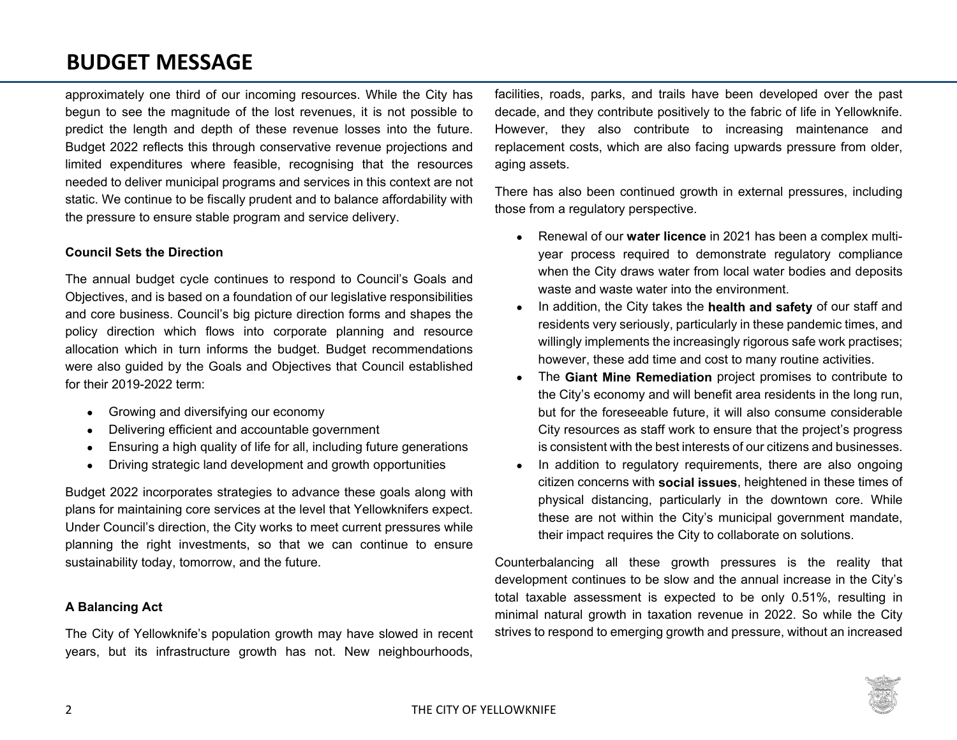approximately one third of our incoming resources. While the City has begun to see the magnitude of the lost revenues, it is not possible to predict the length and depth of these revenue losses into the future. Budget 2022 reflects this through conservative revenue projections and limited expenditures where feasible, recognising that the resources needed to deliver municipal programs and services in this context are not static. We continue to be fiscally prudent and to balance affordability with the pressure to ensure stable program and service delivery.

### **Council Sets the Direction**

The annual budget cycle continues to respond to Council's Goals and Objectives, and is based on a foundation of our legislative responsibilities and core business. Council's big picture direction forms and shapes the policy direction which flows into corporate planning and resource allocation which in turn informs the budget. Budget recommendations were also guided by the Goals and Objectives that Council established for their 2019-2022 term:

- Growing and diversifying our economy
- Delivering efficient and accountable government
- Ensuring a high quality of life for all, including future generations
- Driving strategic land development and growth opportunities

Budget 2022 incorporates strategies to advance these goals along with plans for maintaining core services at the level that Yellowknifers expect. Under Council's direction, the City works to meet current pressures while planning the right investments, so that we can continue to ensure sustainability today, tomorrow, and the future.

### **A Balancing Act**

The City of Yellowknife's population growth may have slowed in recent years, but its infrastructure growth has not. New neighbourhoods,

facilities, roads, parks, and trails have been developed over the past decade, and they contribute positively to the fabric of life in Yellowknife. However, they also contribute to increasing maintenance and replacement costs, which are also facing upwards pressure from older, aging assets.

There has also been continued growth in external pressures, including those from a regulatory perspective.

- Renewal of our **water licence** in 2021 has been a complex multiyear process required to demonstrate regulatory compliance when the City draws water from local water bodies and deposits waste and waste water into the environment.
- In addition, the City takes the **health and safety** of our staff and residents very seriously, particularly in these pandemic times, and willingly implements the increasingly rigorous safe work practises; however, these add time and cost to many routine activities.
- The **Giant Mine Remediation** project promises to contribute to the City's economy and will benefit area residents in the long run, but for the foreseeable future, it will also consume considerable City resources as staff work to ensure that the project's progress is consistent with the best interests of our citizens and businesses.
- In addition to regulatory requirements, there are also ongoing citizen concerns with **social issues**, heightened in these times of physical distancing, particularly in the downtown core. While these are not within the City's municipal government mandate, their impact requires the City to collaborate on solutions.

Counterbalancing all these growth pressures is the reality that development continues to be slow and the annual increase in the City's total taxable assessment is expected to be only 0.51%, resulting in minimal natural growth in taxation revenue in 2022. So while the City strives to respond to emerging growth and pressure, without an increased

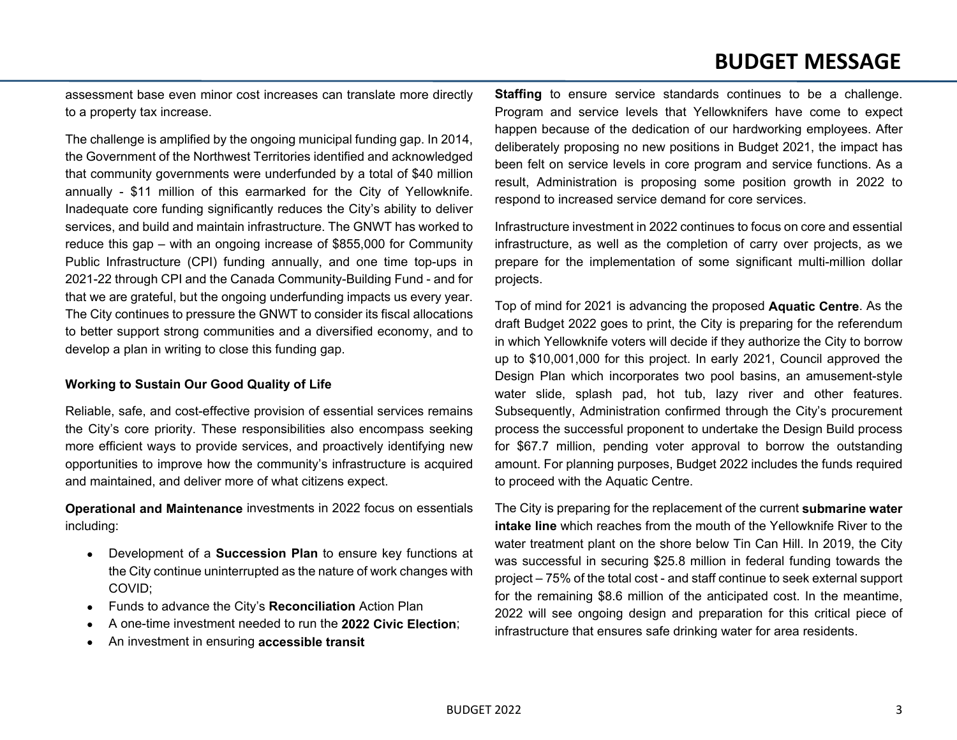assessment base even minor cost increases can translate more directly to a property tax increase.

The challenge is amplified by the ongoing municipal funding gap. In 2014, the Government of the Northwest Territories identified and acknowledged that community governments were underfunded by a total of \$40 million annually - \$11 million of this earmarked for the City of Yellowknife. Inadequate core funding significantly reduces the City's ability to deliver services, and build and maintain infrastructure. The GNWT has worked to reduce this gap – with an ongoing increase of \$855,000 for Community Public Infrastructure (CPI) funding annually, and one time top-ups in 2021-22 through CPI and the Canada Community-Building Fund - and for that we are grateful, but the ongoing underfunding impacts us every year. The City continues to pressure the GNWT to consider its fiscal allocations to better support strong communities and a diversified economy, and to develop a plan in writing to close this funding gap.

### **Working to Sustain Our Good Quality of Life**

Reliable, safe, and cost-effective provision of essential services remains the City's core priority. These responsibilities also encompass seeking more efficient ways to provide services, and proactively identifying new opportunities to improve how the community's infrastructure is acquired and maintained, and deliver more of what citizens expect.

**Operational and Maintenance** investments in 2022 focus on essentials including:

- Development of a **Succession Plan** to ensure key functions at the City continue uninterrupted as the nature of work changes with COVID;
- Funds to advance the City's **Reconciliation** Action Plan
- A one-time investment needed to run the **2022 Civic Election**;
- An investment in ensuring **accessible transit**

**Staffing** to ensure service standards continues to be a challenge. Program and service levels that Yellowknifers have come to expect happen because of the dedication of our hardworking employees. After deliberately proposing no new positions in Budget 2021, the impact has been felt on service levels in core program and service functions. As a result, Administration is proposing some position growth in 2022 to respond to increased service demand for core services.

Infrastructure investment in 2022 continues to focus on core and essential infrastructure, as well as the completion of carry over projects, as we prepare for the implementation of some significant multi-million dollar projects.

Top of mind for 2021 is advancing the proposed **Aquatic Centre**. As the draft Budget 2022 goes to print, the City is preparing for the referendum in which Yellowknife voters will decide if they authorize the City to borrow up to \$10,001,000 for this project. In early 2021, Council approved the Design Plan which incorporates two pool basins, an amusement-style water slide, splash pad, hot tub, lazy river and other features. Subsequently, Administration confirmed through the City's procurement process the successful proponent to undertake the Design Build process for \$67.7 million, pending voter approval to borrow the outstanding amount. For planning purposes, Budget 2022 includes the funds required to proceed with the Aquatic Centre.

The City is preparing for the replacement of the current **submarine water intake line** which reaches from the mouth of the Yellowknife River to the water treatment plant on the shore below Tin Can Hill. In 2019, the City was successful in securing \$25.8 million in federal funding towards the project – 75% of the total cost - and staff continue to seek external support for the remaining \$8.6 million of the anticipated cost. In the meantime, 2022 will see ongoing design and preparation for this critical piece of infrastructure that ensures safe drinking water for area residents.